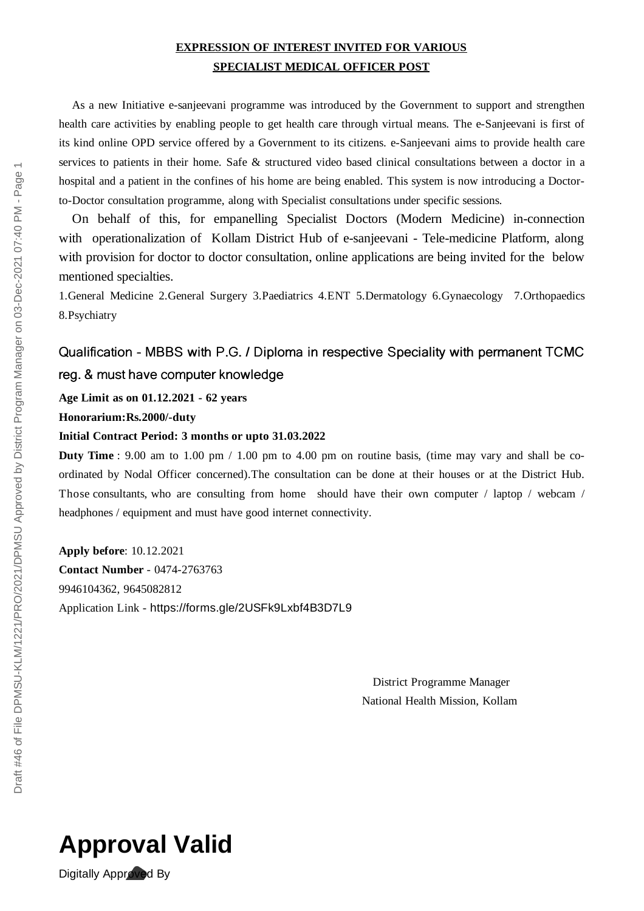## **EXPRESSION OF INTEREST INVITED FOR VARIOUS SPECIALIST MEDICAL OFFICER POST**

As a new Initiative e-sanjeevani programme was introduced by the Government to support and strengthen health care activities by enabling people to get health care through virtual means. The e-Sanjeevani is first of its kind online OPD service offered by a Government to its citizens. e-Sanjeevani aims to provide health care services to patients in their home. Safe & structured video based clinical consultations between a doctor in a hospital and a patient in the confines of his home are being enabled. This system is now introducing a Doctorto-Doctor consultation programme, along with Specialist consultations under specific sessions.

On behalf of this, for empanelling Specialist Doctors (Modern Medicine) in-connection with operationalization of Kollam District Hub of e-sanjeevani - Tele-medicine Platform, along with provision for doctor to doctor consultation, online applications are being invited for the below mentioned specialties.

1.General Medicine 2.General Surgery 3.Paediatrics 4.ENT 5.Dermatology 6.Gynaecology 7.Orthopaedics 8.Psychiatry

## Qualification - MBBS with P.G. / Diploma in respective Speciality with permanent TCMC reg. & must have computer knowledge

**Age Limit as on 01.12.2021 - 62 years**

## **Honorarium:Rs.2000/-duty**

## **Initial Contract Period: 3 months or upto 31.03.2022**

**Duty Time** : 9.00 am to 1.00 pm / 1.00 pm to 4.00 pm on routine basis, (time may vary and shall be coordinated by Nodal Officer concerned).The consultation can be done at their houses or at the District Hub. Those consultants, who are consulting from home should have their own computer / laptop / webcam / headphones / equipment and must have good internet connectivity.

**Apply before**: 10.12.2021 **Contact Number** - 0474-2763763 9946104362, 9645082812 Application Link - https://forms.gle/2USFk9Lxbf4B3D7L9

> District Programme Manager National Health Mission, Kollam



Digitally Approved By